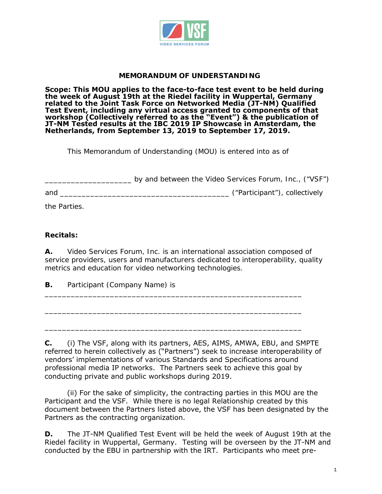

### **MEMORANDUM OF UNDERSTANDING**

**Scope: This MOU applies to the face-to-face test event to be held during the week of August 19th at the Riedel facility in Wuppertal, Germany related to the Joint Task Force on Networked Media (JT-NM) Qualified Test Event, including any virtual access granted to components of that workshop (Collectively referred to as the "Event") & the publication of JT-NM Tested results at the IBC 2019 IP Showcase in Amsterdam, the Netherlands, from September 13, 2019 to September 17, 2019.**

This Memorandum of Understanding (MOU) is entered into as of

\_\_\_\_\_\_\_\_\_\_\_\_\_\_\_\_\_\_\_\_ by and between the Video Services Forum, Inc., ("VSF") and \_\_\_\_\_\_\_\_\_\_\_\_\_\_\_\_\_\_\_\_\_\_\_\_\_\_\_\_\_\_\_\_\_\_\_\_\_\_\_ ("Participant"), collectively

the Parties.

#### **Recitals:**

**A.** Video Services Forum, Inc. is an international association composed of service providers, users and manufacturers dedicated to interoperability, quality metrics and education for video networking technologies.

\_\_\_\_\_\_\_\_\_\_\_\_\_\_\_\_\_\_\_\_\_\_\_\_\_\_\_\_\_\_\_\_\_\_\_\_\_\_\_\_\_\_\_\_\_\_\_\_\_\_\_\_\_\_\_\_\_\_\_

\_\_\_\_\_\_\_\_\_\_\_\_\_\_\_\_\_\_\_\_\_\_\_\_\_\_\_\_\_\_\_\_\_\_\_\_\_\_\_\_\_\_\_\_\_\_\_\_\_\_\_\_\_\_\_\_\_\_\_

\_\_\_\_\_\_\_\_\_\_\_\_\_\_\_\_\_\_\_\_\_\_\_\_\_\_\_\_\_\_\_\_\_\_\_\_\_\_\_\_\_\_\_\_\_\_\_\_\_\_\_\_\_\_\_\_\_\_\_

**B.** Participant (Company Name) is

**C.** (i) The VSF, along with its partners, AES, AIMS, AMWA, EBU, and SMPTE referred to herein collectively as ("Partners") seek to increase interoperability of vendors' implementations of various Standards and Specifications around professional media IP networks. The Partners seek to achieve this goal by conducting private and public workshops during 2019.

(ii) For the sake of simplicity, the contracting parties in this MOU are the Participant and the VSF. While there is no legal Relationship created by this document between the Partners listed above, the VSF has been designated by the Partners as the contracting organization.

**D.** The JT-NM Qualified Test Event will be held the week of August 19th at the Riedel facility in Wuppertal, Germany. Testing will be overseen by the JT-NM and conducted by the EBU in partnership with the IRT. Participants who meet pre-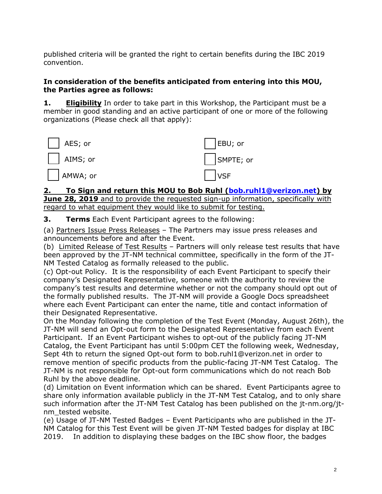convention. published criteria will be granted the right to certain benefits during the IBC 2019

## **In consideration of the benefits anticipated from entering into this MOU, the Parties agree as follows:**

**1. Eligibility** In order to take part in this Workshop, the Participant must be a member in good standing and an active participant of one or more of the following organizations (Please check all that apply):



#### **2. [To Sign and return this MOU to Bob Ruhl \(bob.ruhl1@verizon.net\)](mailto:bob.ruhl1@verizon.net) by June 28, 2019** and to provide the requested sign-up information, specifically with regard to what equipment they would like to submit for testing.

**3. Terms** Each Event Participant agrees to the following:

(a) Partners Issue Press Releases – The Partners may issue press releases and announcements before and after the Event.

(b) Limited Release of Test Results - Partners will only release test results that have been approved by the JT-NM technical committee, specifically in the form of the JT-NM Tested Catalog as formally released to the public.

(c) Opt-out Policy. It is the responsibility of each Event Participant to specify their company's Designated Representative, someone with the authority to review the company's test results and determine whether or not the company should opt out of the formally published results. The JT-NM will provide a Google Docs spreadsheet where each Event Participant can enter the name, title and contact information of their Designated Representative.

On the Monday following the completion of the Test Event (Monday, August 26th), the JT-NM will send an Opt-out form to the Designated Representative from each Event Participant. If an Event Participant wishes to opt-out of the publicly facing JT-NM Catalog, the Event Participant has until 5:00pm CET the following week, Wednesday, Sept 4th to return the signed Opt-out form to [bob.ruhl1@verizon.net](mailto:bob.ruhl1@verizon.net) in order to remove mention of specific products from the public-facing JT-NM Test Catalog. The JT-NM is not responsible for Opt-out form communications which do not reach Bob Ruhl by the above deadline.

(d) Limitation on Event information which can be shared. Event Participants agree to share only information available publicly in the JT-NM Test Catalog, and to only share such information after the JT-NM Test Catalog has been published on the [jt-nm.org/jt](http://jt-nm.org/jt-nm_tested)[nm\\_tested](http://jt-nm.org/jt-nm_tested) website.

(e) Usage of JT-NM Tested Badges – Event Participants who are published in the JT-NM Catalog for this Test Event will be given JT-NM Tested badges for display at IBC 2019. In addition to displaying these badges on the IBC show floor, the badges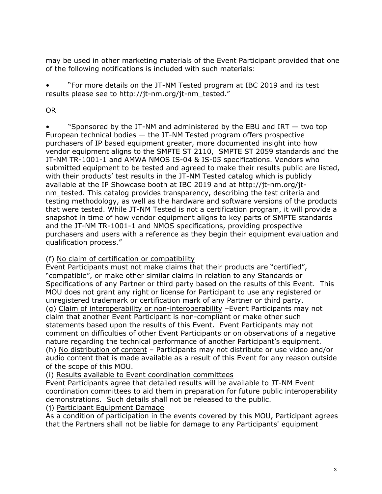may be used in other marketing materials of the Event Participant provided that one of the following notifications is included with such materials:

• "For more details on the JT-NM Tested program at IBC 2019 and its test results please see to [http://jt-nm.org/jt-nm\\_tested.](http://jt-nm.org/jt-nm_tested)"

## OR

"Sponsored by the JT-NM and administered by the EBU and IRT  $-$  two top European technical bodies — the JT-NM Tested program offers prospective purchasers of IP based equipment greater, more documented insight into how vendor equipment aligns to the SMPTE ST 2110, SMPTE ST 2059 standards and the JT-NM TR-1001-1 and AMWA NMOS IS-04 & IS-05 specifications. Vendors who submitted equipment to be tested and agreed to make their results public are listed, with their products' test results in the JT-NM Tested catalog which is publicly available at the IP Showcase booth at IBC 2019 and at [http://jt-nm.org/jt](http://jt-nm.org/jt-nm_tested)[nm\\_tested.](http://jt-nm.org/jt-nm_tested) This catalog provides transparency, describing the test criteria and testing methodology, as well as the hardware and software versions of the products that were tested. While JT-NM Tested is not a certification program, it will provide a snapshot in time of how vendor equipment aligns to key parts of SMPTE standards and the JT-NM TR-1001-1 and NMOS specifications, providing prospective purchasers and users with a reference as they begin their equipment evaluation and qualification process."

## (f) No claim of certification or compatibility

Event Participants must not make claims that their products are "certified", "compatible", or make other similar claims in relation to any Standards or Specifications of any Partner or third party based on the results of this Event. This MOU does not grant any right or license for Participant to use any registered or unregistered trademark or certification mark of any Partner or third party. (g) Claim of interoperability or non-interoperability –Event Participants may not claim that another Event Participant is non-compliant or make other such statements based upon the results of this Event. Event Participants may not comment on difficulties of other Event Participants or on observations of a negative nature regarding the technical performance of another Participant's equipment. (h) No distribution of content – Participants may not distribute or use video and/or audio content that is made available as a result of this Event for any reason outside of the scope of this MOU.

# (i) Results available to Event coordination committees

Event Participants agree that detailed results will be available to JT-NM Event coordination committees to aid them in preparation for future public interoperability demonstrations. Such details shall not be released to the public.

## (j) Participant Equipment Damage

As a condition of participation in the events covered by this MOU, Participant agrees that the Partners shall not be liable for damage to any Participants' equipment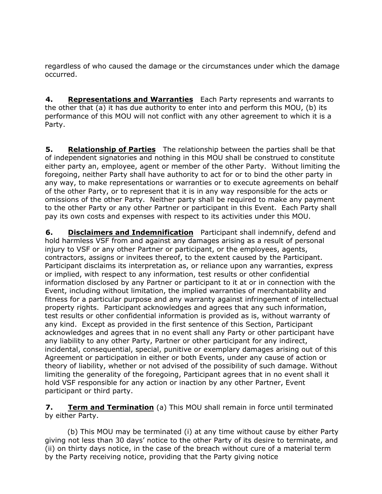regardless of who caused the damage or the circumstances under which the damage occurred.

 **4. Representations and Warranties** Each Party represents and warrants to the other that (a) it has due authority to enter into and perform this MOU, (b) its performance of this MOU will not conflict with any other agreement to which it is a Party.

 **5. Relationship of Parties** The relationship between the parties shall be that of independent signatories and nothing in this MOU shall be construed to constitute either party an, employee, agent or member of the other Party. Without limiting the foregoing, neither Party shall have authority to act for or to bind the other party in any way, to make representations or warranties or to execute agreements on behalf of the other Party, or to represent that it is in any way responsible for the acts or omissions of the other Party. Neither party shall be required to make any payment to the other Party or any other Partner or participant in this Event. Each Party shall pay its own costs and expenses with respect to its activities under this MOU.

 **6. Disclaimers and Indemnification** Participant shall indemnify, defend and hold harmless VSF from and against any damages arising as a result of personal injury to VSF or any other Partner or participant, or the employees, agents, contractors, assigns or invitees thereof, to the extent caused by the Participant. Participant disclaims its interpretation as, or reliance upon any warranties, express or implied, with respect to any information, test results or other confidential information disclosed by any Partner or participant to it at or in connection with the Event, including without limitation, the implied warranties of merchantability and fitness for a particular purpose and any warranty against infringement of intellectual property rights. Participant acknowledges and agrees that any such information, test results or other confidential information is provided as is, without warranty of any kind. Except as provided in the first sentence of this Section, Participant acknowledges and agrees that in no event shall any Party or other participant have any liability to any other Party, Partner or other participant for any indirect, incidental, consequential, special, punitive or exemplary damages arising out of this Agreement or participation in either or both Events, under any cause of action or theory of liability, whether or not advised of the possibility of such damage. Without limiting the generality of the foregoing, Participant agrees that in no event shall it hold VSF responsible for any action or inaction by any other Partner, Event participant or third party.

**7. Term and Termination** (a) This MOU shall remain in force until terminated by either Party.

(b) This MOU may be terminated (i) at any time without cause by either Party giving not less than 30 days' notice to the other Party of its desire to terminate, and (ii) on thirty days notice, in the case of the breach without cure of a material term by the Party receiving notice, providing that the Party giving notice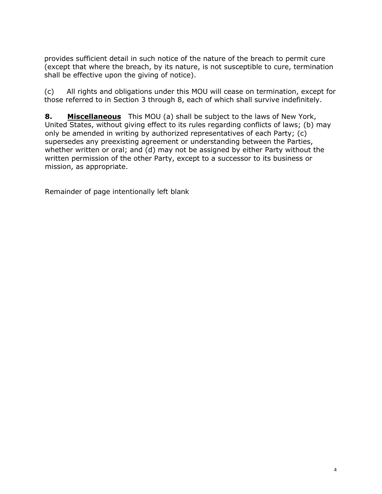provides sufficient detail in such notice of the nature of the breach to permit cure (except that where the breach, by its nature, is not susceptible to cure, termination shall be effective upon the giving of notice).

(c) All rights and obligations under this MOU will cease on termination, except for those referred to in Section 3 through 8, each of which shall survive indefinitely.

 **8. Miscellaneous** This MOU (a) shall be subject to the laws of New York, United States, without giving effect to its rules regarding conflicts of laws; (b) may only be amended in writing by authorized representatives of each Party; (c) supersedes any preexisting agreement or understanding between the Parties, whether written or oral; and (d) may not be assigned by either Party without the written permission of the other Party, except to a successor to its business or mission, as appropriate.

*Remainder of page intentionally left blank*